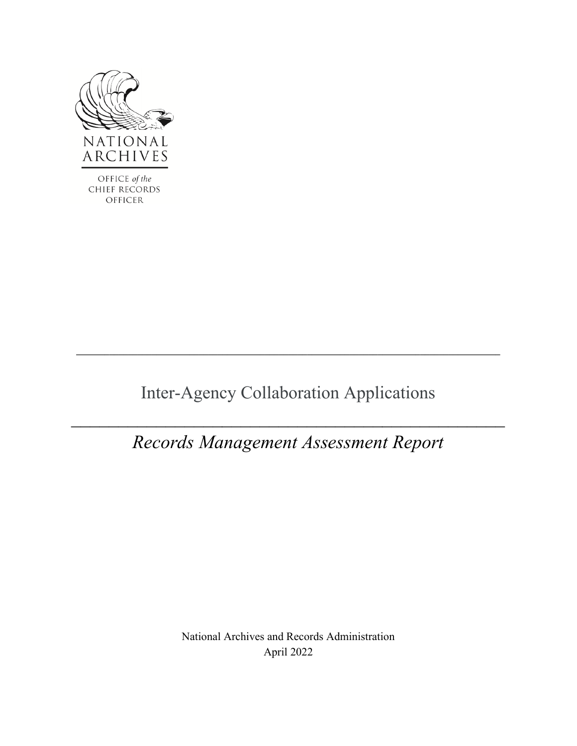

Inter-Agency Collaboration Applications

**\_\_\_\_\_\_\_\_\_\_\_\_\_\_\_\_\_\_\_\_\_\_\_\_\_\_\_\_\_\_\_\_\_\_\_\_\_\_\_\_\_\_\_\_\_\_\_\_\_\_\_\_\_\_\_\_\_\_\_\_\_\_\_\_\_\_\_\_\_\_\_\_\_\_\_\_\_\_\_\_\_\_\_\_\_\_\_\_\_\_** 

# *Records Management Assessment Report*

National Archives and Records Administration April 2022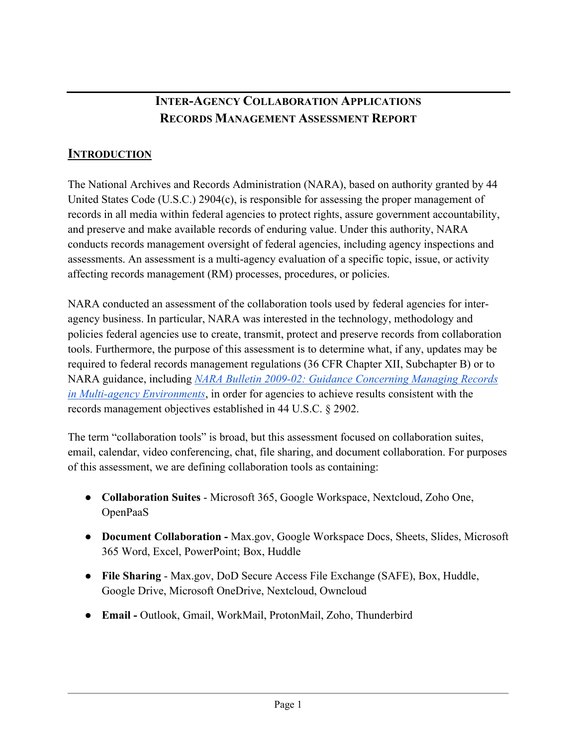## **INTER-AGENCY COLLABORATION APPLICATIONS RECORDS MANAGEMENT ASSESSMENT REPORT**

## **INTRODUCTION**

 The National Archives and Records Administration (NARA), based on authority granted by 44 affecting records management (RM) processes, procedures, or policies. United States Code (U.S.C.) 2904(c), is responsible for assessing the proper management of records in all media within federal agencies to protect rights, assure government accountability, and preserve and make available records of enduring value. Under this authority, NARA conducts records management oversight of federal agencies, including agency inspections and assessments. An assessment is a multi-agency evaluation of a specific topic, issue, or activity

NARA conducted an assessment of the collaboration tools used by federal agencies for interagency business. In particular, NARA was interested in the technology, methodology and policies federal agencies use to create, transmit, protect and preserve records from collaboration tools. Furthermore, the purpose of this assessment is to determine what, if any, updates may be required to federal records management regulations (36 CFR Chapter XII, Subchapter B) or to NARA guidance, including *[NARA Bulletin 2009-02: Guidance Concerning Managing Records](https://www.archives.gov/records-mgmt/bulletins/2009/2009-02.html)  [in Multi-agency Environments](https://www.archives.gov/records-mgmt/bulletins/2009/2009-02.html)*, in order for agencies to achieve results consistent with the records management objectives established in 44 U.S.C. § 2902.

 of this assessment, we are defining collaboration tools as containing: The term "collaboration tools" is broad, but this assessment focused on collaboration suites, email, calendar, video conferencing, chat, file sharing, and document collaboration. For purposes

- ● **Collaboration Suites**  Microsoft 365, Google Workspace, Nextcloud, Zoho One, OpenPaaS
- **Document Collaboration -** Max.gov, Google Workspace Docs, Sheets, Slides, Microsoft 365 Word, Excel, PowerPoint; Box, Huddle
- ● **File Sharing**  Max.gov, DoD Secure Access File Exchange (SAFE), Box, Huddle, Google Drive, Microsoft OneDrive, Nextcloud, Owncloud
- **Email -** Outlook, Gmail, WorkMail, ProtonMail, Zoho, Thunderbird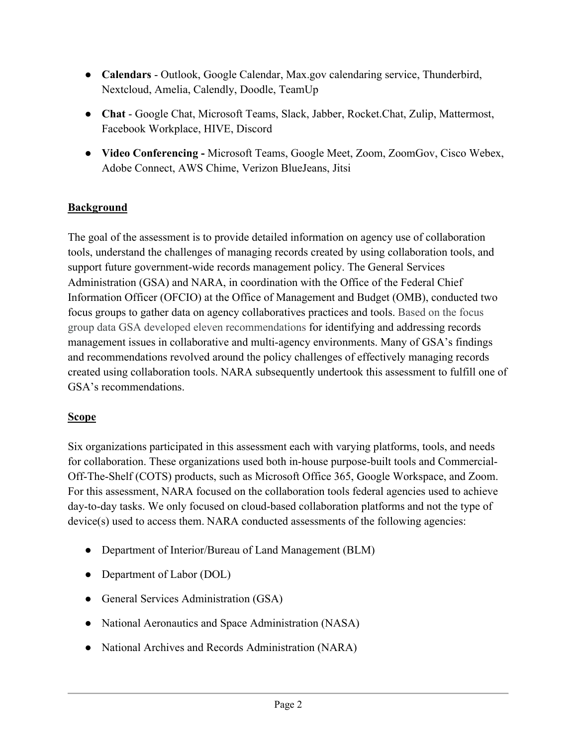- ● **Calendars**  Outlook, Google Calendar, Max.gov calendaring service, Thunderbird, Nextcloud, Amelia, Calendly, Doodle, TeamUp
- ● **Chat**  Google Chat, Microsoft Teams, Slack, Jabber, Rocket.Chat, Zulip, Mattermost, Facebook Workplace, HIVE, Discord
- **Video Conferencing -** Microsoft Teams, Google Meet, Zoom, ZoomGov, Cisco Webex, Adobe Connect, AWS Chime, Verizon BlueJeans, Jitsi

#### **Background**

The goal of the assessment is to provide detailed information on agency use of collaboration tools, understand the challenges of managing records created by using collaboration tools, and support future government-wide records management policy. The General Services Administration (GSA) and NARA, in coordination with the Office of the Federal Chief Information Officer (OFCIO) at the Office of Management and Budget (OMB), conducted two focus groups to gather data on agency collaboratives practices and tools. Based on the focus group data GSA developed eleven recommendations for identifying and addressing records management issues in collaborative and multi-agency environments. Many of GSA's findings and recommendations revolved around the policy challenges of effectively managing records created using collaboration tools. NARA subsequently undertook this assessment to fulfill one of GSA's recommendations.

#### **Scope**

 day-to-day tasks. We only focused on cloud-based collaboration platforms and not the type of Six organizations participated in this assessment each with varying platforms, tools, and needs for collaboration. These organizations used both in-house purpose-built tools and Commercial-Off-The-Shelf (COTS) products, such as Microsoft Office 365, Google Workspace, and Zoom. For this assessment, NARA focused on the collaboration tools federal agencies used to achieve device(s) used to access them. NARA conducted assessments of the following agencies:

- Department of Interior/Bureau of Land Management (BLM)
- Department of Labor (DOL)
- General Services Administration (GSA)
- National Aeronautics and Space Administration (NASA)
- National Archives and Records Administration (NARA)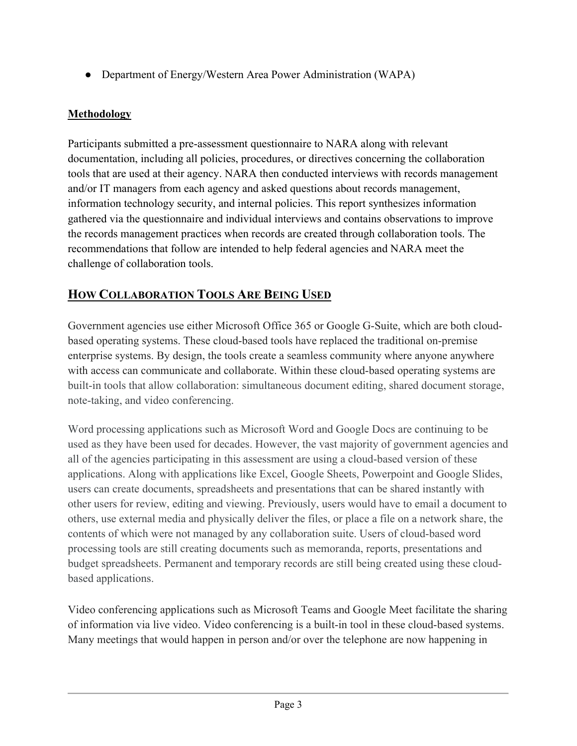● Department of Energy/Western Area Power Administration (WAPA)

## **Methodology**

 and/or IT managers from each agency and asked questions about records management, recommendations that follow are intended to help federal agencies and NARA meet the Participants submitted a pre-assessment questionnaire to NARA along with relevant documentation, including all policies, procedures, or directives concerning the collaboration tools that are used at their agency. NARA then conducted interviews with records management information technology security, and internal policies. This report synthesizes information gathered via the questionnaire and individual interviews and contains observations to improve the records management practices when records are created through collaboration tools. The challenge of collaboration tools.

# **HOW COLLABORATION TOOLS ARE BEING USED**

 with access can communicate and collaborate. Within these cloud-based operating systems are built-in tools that allow collaboration: simultaneous document editing, shared document storage, Government agencies use either Microsoft Office 365 or Google G-Suite, which are both cloudbased operating systems. These cloud-based tools have replaced the traditional on-premise enterprise systems. By design, the tools create a seamless community where anyone anywhere note-taking, and video conferencing.

 used as they have been used for decades. However, the vast majority of government agencies and contents of which were not managed by any collaboration suite. Users of cloud-based word budget spreadsheets. Permanent and temporary records are still being created using these cloud-Word processing applications such as Microsoft Word and Google Docs are continuing to be all of the agencies participating in this assessment are using a cloud-based version of these applications. Along with applications like Excel, Google Sheets, Powerpoint and Google Slides, users can create documents, spreadsheets and presentations that can be shared instantly with other users for review, editing and viewing. Previously, users would have to email a document to others, use external media and physically deliver the files, or place a file on a network share, the processing tools are still creating documents such as memoranda, reports, presentations and based applications.

Video conferencing applications such as Microsoft Teams and Google Meet facilitate the sharing of information via live video. Video conferencing is a built-in tool in these cloud-based systems. Many meetings that would happen in person and/or over the telephone are now happening in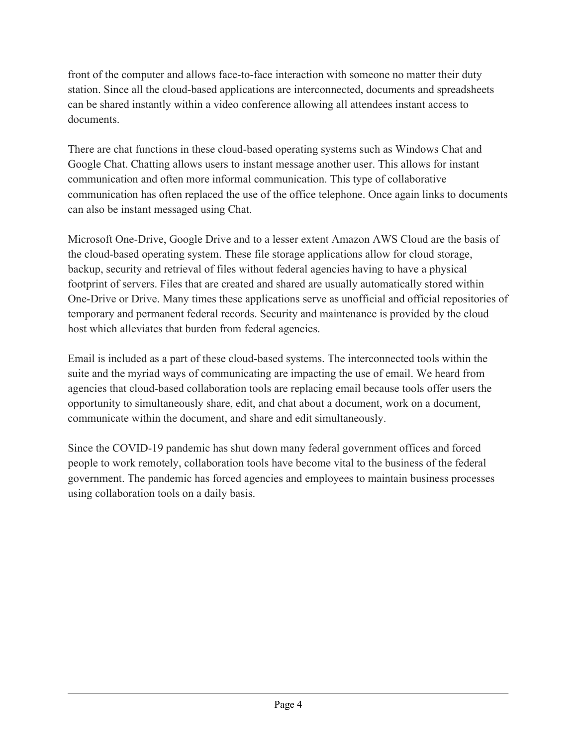front of the computer and allows face-to-face interaction with someone no matter their duty station. Since all the cloud-based applications are interconnected, documents and spreadsheets can be shared instantly within a video conference allowing all attendees instant access to documents.

There are chat functions in these cloud-based operating systems such as Windows Chat and Google Chat. Chatting allows users to instant message another user. This allows for instant communication and often more informal communication. This type of collaborative communication has often replaced the use of the office telephone. Once again links to documents can also be instant messaged using Chat.

 Microsoft One-Drive, Google Drive and to a lesser extent Amazon AWS Cloud are the basis of footprint of servers. Files that are created and shared are usually automatically stored within the cloud-based operating system. These file storage applications allow for cloud storage, backup, security and retrieval of files without federal agencies having to have a physical One-Drive or Drive. Many times these applications serve as unofficial and official repositories of temporary and permanent federal records. Security and maintenance is provided by the cloud host which alleviates that burden from federal agencies.

 suite and the myriad ways of communicating are impacting the use of email. We heard from Email is included as a part of these cloud-based systems. The interconnected tools within the agencies that cloud-based collaboration tools are replacing email because tools offer users the opportunity to simultaneously share, edit, and chat about a document, work on a document, communicate within the document, and share and edit simultaneously.

Since the COVID-19 pandemic has shut down many federal government offices and forced people to work remotely, collaboration tools have become vital to the business of the federal government. The pandemic has forced agencies and employees to maintain business processes using collaboration tools on a daily basis.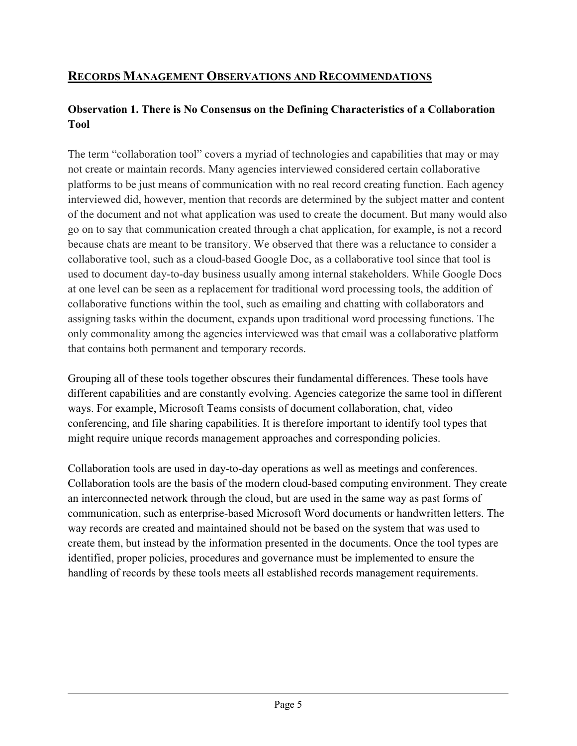## **RECORDS MANAGEMENT OBSERVATIONS AND RECOMMENDATIONS**

## **Observation 1. There is No Consensus on the Defining Characteristics of a Collaboration Tool**

 The term "collaboration tool" covers a myriad of technologies and capabilities that may or may not create or maintain records. Many agencies interviewed considered certain collaborative at one level can be seen as a replacement for traditional word processing tools, the addition of platforms to be just means of communication with no real record creating function. Each agency interviewed did, however, mention that records are determined by the subject matter and content of the document and not what application was used to create the document. But many would also go on to say that communication created through a chat application, for example, is not a record because chats are meant to be transitory. We observed that there was a reluctance to consider a collaborative tool, such as a cloud-based Google Doc, as a collaborative tool since that tool is used to document day-to-day business usually among internal stakeholders. While Google Docs collaborative functions within the tool, such as emailing and chatting with collaborators and assigning tasks within the document, expands upon traditional word processing functions. The only commonality among the agencies interviewed was that email was a collaborative platform that contains both permanent and temporary records.

 conferencing, and file sharing capabilities. It is therefore important to identify tool types that Grouping all of these tools together obscures their fundamental differences. These tools have different capabilities and are constantly evolving. Agencies categorize the same tool in different ways. For example, Microsoft Teams consists of document collaboration, chat, video might require unique records management approaches and corresponding policies.

 an interconnected network through the cloud, but are used in the same way as past forms of create them, but instead by the information presented in the documents. Once the tool types are identified, proper policies, procedures and governance must be implemented to ensure the handling of records by these tools meets all established records management requirements. Collaboration tools are used in day-to-day operations as well as meetings and conferences. Collaboration tools are the basis of the modern cloud-based computing environment. They create communication, such as enterprise-based Microsoft Word documents or handwritten letters. The way records are created and maintained should not be based on the system that was used to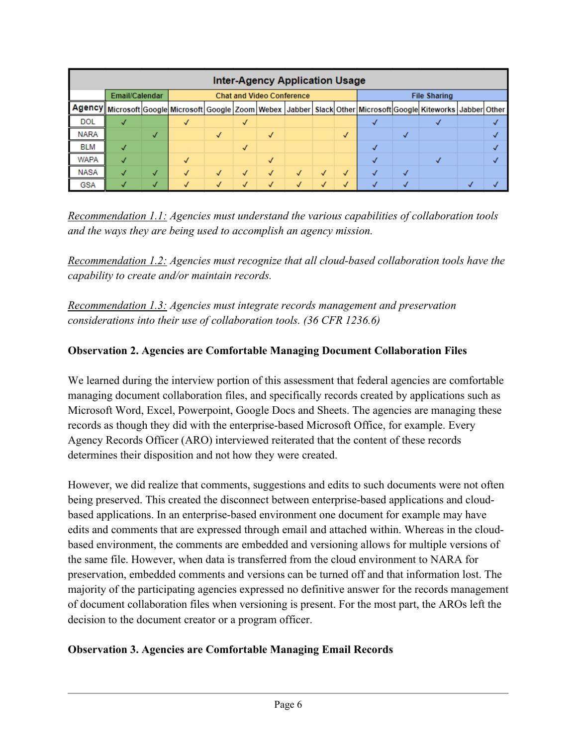| <b>Inter-Agency Application Usage</b> |                |           |                                  |   |              |              |  |  |   |                     |  |                                                                                                                                      |  |  |
|---------------------------------------|----------------|-----------|----------------------------------|---|--------------|--------------|--|--|---|---------------------|--|--------------------------------------------------------------------------------------------------------------------------------------|--|--|
|                                       | Email/Calendar |           | <b>Chat and Video Conference</b> |   |              |              |  |  |   | <b>File Sharing</b> |  |                                                                                                                                      |  |  |
|                                       |                |           |                                  |   |              |              |  |  |   |                     |  | Agency   Microsoft Google Microsoft Google   Zoom   Webex   Jabber   Slack   Other   Microsoft   Google   Kiteworks   Jabber   Other |  |  |
| <b>DOL</b>                            |                |           |                                  |   | √            |              |  |  |   |                     |  |                                                                                                                                      |  |  |
| <b>NARA</b>                           |                | $\sqrt{}$ |                                  | √ |              | $\checkmark$ |  |  | √ |                     |  |                                                                                                                                      |  |  |
| <b>BLM</b>                            |                |           |                                  |   | $\checkmark$ |              |  |  |   |                     |  |                                                                                                                                      |  |  |
| <b>WAPA</b>                           |                |           |                                  |   |              | √            |  |  |   |                     |  |                                                                                                                                      |  |  |
| NASA                                  |                | J         |                                  | √ | $\checkmark$ | √            |  |  | J |                     |  |                                                                                                                                      |  |  |
| <b>GSA</b>                            |                |           |                                  |   |              |              |  |  |   |                     |  |                                                                                                                                      |  |  |

 *Recommendation 1.1: Agencies must understand the various capabilities of collaboration tools and the ways they are being used to accomplish an agency mission.* 

 *Recommendation 1.2: Agencies must recognize that all cloud-based collaboration tools have the capability to create and/or maintain records.* 

*Recommendation 1.3: Agencies must integrate records management and preservation considerations into their use of collaboration tools. (36 CFR 1236.6)* 

#### **Observation 2. Agencies are Comfortable Managing Document Collaboration Files**

We learned during the interview portion of this assessment that federal agencies are comfortable managing document collaboration files, and specifically records created by applications such as Microsoft Word, Excel, Powerpoint, Google Docs and Sheets. The agencies are managing these records as though they did with the enterprise-based Microsoft Office, for example. Every Agency Records Officer (ARO) interviewed reiterated that the content of these records determines their disposition and not how they were created.

 based applications. In an enterprise-based environment one document for example may have of document collaboration files when versioning is present. For the most part, the AROs left the However, we did realize that comments, suggestions and edits to such documents were not often being preserved. This created the disconnect between enterprise-based applications and cloudedits and comments that are expressed through email and attached within. Whereas in the cloudbased environment, the comments are embedded and versioning allows for multiple versions of the same file. However, when data is transferred from the cloud environment to NARA for preservation, embedded comments and versions can be turned off and that information lost. The majority of the participating agencies expressed no definitive answer for the records management decision to the document creator or a program officer.

#### **Observation 3. Agencies are Comfortable Managing Email Records**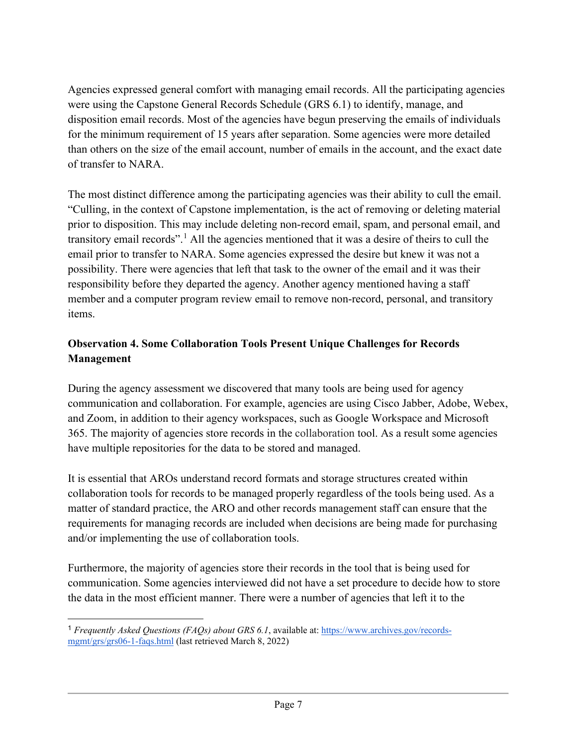Agencies expressed general comfort with managing email records. All the participating agencies disposition email records. Most of the agencies have begun preserving the emails of individuals than others on the size of the email account, number of emails in the account, and the exact date were using the Capstone General Records Schedule (GRS 6.1) to identify, manage, and for the minimum requirement of 15 years after separation. Some agencies were more detailed of transfer to NARA.

 "Culling, in the context of Capstone implementation, is the act of removing or deleting material transitory email records".<sup>1</sup> All the agencies mentioned that it was a desire of theirs to cull the email prior to transfer to NARA. Some agencies expressed the desire but knew it was not a responsibility before they departed the agency. Another agency mentioned having a staff The most distinct difference among the participating agencies was their ability to cull the email. prior to disposition. This may include deleting non-record email, spam, and personal email, and possibility. There were agencies that left that task to the owner of the email and it was their member and a computer program review email to remove non-record, personal, and transitory items.

## **Observation 4. Some Collaboration Tools Present Unique Challenges for Records Management**

During the agency assessment we discovered that many tools are being used for agency communication and collaboration. For example, agencies are using Cisco Jabber, Adobe, Webex, and Zoom, in addition to their agency workspaces, such as Google Workspace and Microsoft 365. The majority of agencies store records in the collaboration tool. As a result some agencies have multiple repositories for the data to be stored and managed.

 It is essential that AROs understand record formats and storage structures created within collaboration tools for records to be managed properly regardless of the tools being used. As a matter of standard practice, the ARO and other records management staff can ensure that the requirements for managing records are included when decisions are being made for purchasing and/or implementing the use of collaboration tools.

 the data in the most efficient manner. There were a number of agencies that left it to the Furthermore, the majority of agencies store their records in the tool that is being used for communication. Some agencies interviewed did not have a set procedure to decide how to store

<span id="page-7-0"></span><sup>&</sup>lt;sup>1</sup> Frequently Asked Questions (FAQs) about GRS 6.1, available at: [https://www.archives.gov/records](https://www.archives.gov/records-mgmt/grs/grs06-1-faqs.html)[mgmt/grs/grs06-1-faqs.html](https://www.archives.gov/records-mgmt/grs/grs06-1-faqs.html) (last retrieved March 8, 2022)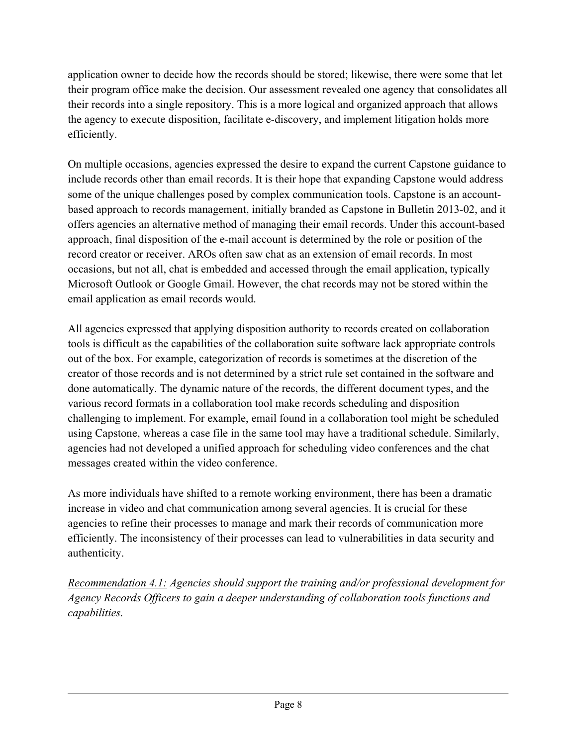application owner to decide how the records should be stored; likewise, there were some that let their program office make the decision. Our assessment revealed one agency that consolidates all their records into a single repository. This is a more logical and organized approach that allows the agency to execute disposition, facilitate e-discovery, and implement litigation holds more efficiently.

 some of the unique challenges posed by complex communication tools. Capstone is an account- record creator or receiver. AROs often saw chat as an extension of email records. In most On multiple occasions, agencies expressed the desire to expand the current Capstone guidance to include records other than email records. It is their hope that expanding Capstone would address based approach to records management, initially branded as Capstone in Bulletin 2013-02, and it offers agencies an alternative method of managing their email records. Under this account-based approach, final disposition of the e-mail account is determined by the role or position of the occasions, but not all, chat is embedded and accessed through the email application, typically Microsoft Outlook or Google Gmail. However, the chat records may not be stored within the email application as email records would.

 creator of those records and is not determined by a strict rule set contained in the software and done automatically. The dynamic nature of the records, the different document types, and the using Capstone, whereas a case file in the same tool may have a traditional schedule. Similarly, messages created within the video conference. All agencies expressed that applying disposition authority to records created on collaboration tools is difficult as the capabilities of the collaboration suite software lack appropriate controls out of the box. For example, categorization of records is sometimes at the discretion of the various record formats in a collaboration tool make records scheduling and disposition challenging to implement. For example, email found in a collaboration tool might be scheduled agencies had not developed a unified approach for scheduling video conferences and the chat

 As more individuals have shifted to a remote working environment, there has been a dramatic increase in video and chat communication among several agencies. It is crucial for these agencies to refine their processes to manage and mark their records of communication more efficiently. The inconsistency of their processes can lead to vulnerabilities in data security and authenticity.

*Recommendation 4.1: Agencies should support the training and/or professional development for Agency Records Officers to gain a deeper understanding of collaboration tools functions and capabilities.*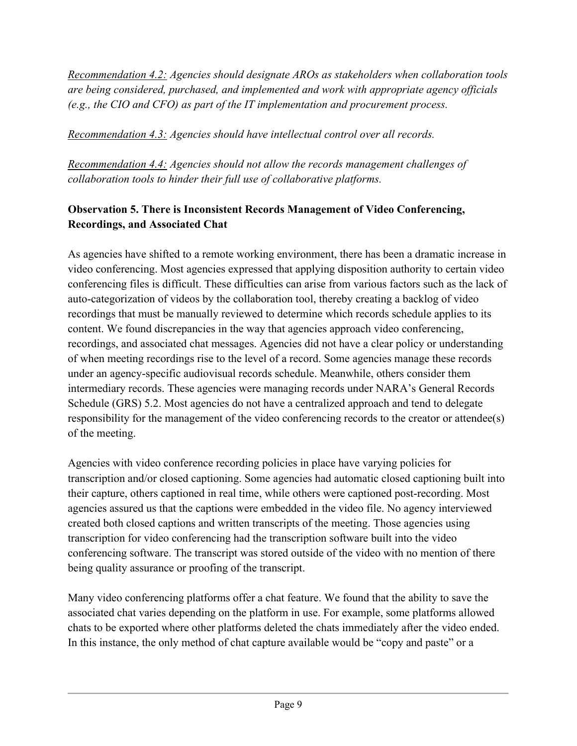*Recommendation 4.2: Agencies should designate AROs as stakeholders when collaboration tools are being considered, purchased, and implemented and work with appropriate agency officials (e.g., the CIO and CFO) as part of the IT implementation and procurement process.* 

*Recommendation 4.3: Agencies should have intellectual control over all records.* 

*Recommendation 4.4: Agencies should not allow the records management challenges of collaboration tools to hinder their full use of collaborative platforms.* 

## **Observation 5. There is Inconsistent Records Management of Video Conferencing, Recordings, and Associated Chat**

As agencies have shifted to a remote working environment, there has been a dramatic increase in video conferencing. Most agencies expressed that applying disposition authority to certain video conferencing files is difficult. These difficulties can arise from various factors such as the lack of auto-categorization of videos by the collaboration tool, thereby creating a backlog of video recordings that must be manually reviewed to determine which records schedule applies to its content. We found discrepancies in the way that agencies approach video conferencing, recordings, and associated chat messages. Agencies did not have a clear policy or understanding of when meeting recordings rise to the level of a record. Some agencies manage these records under an agency-specific audiovisual records schedule. Meanwhile, others consider them intermediary records. These agencies were managing records under NARA's General Records Schedule (GRS) 5.2. Most agencies do not have a centralized approach and tend to delegate responsibility for the management of the video conferencing records to the creator or attendee(s) of the meeting.

 being quality assurance or proofing of the transcript. Agencies with video conference recording policies in place have varying policies for transcription and/or closed captioning. Some agencies had automatic closed captioning built into their capture, others captioned in real time, while others were captioned post-recording. Most agencies assured us that the captions were embedded in the video file. No agency interviewed created both closed captions and written transcripts of the meeting. Those agencies using transcription for video conferencing had the transcription software built into the video conferencing software. The transcript was stored outside of the video with no mention of there

 Many video conferencing platforms offer a chat feature. We found that the ability to save the In this instance, the only method of chat capture available would be "copy and paste" or a associated chat varies depending on the platform in use. For example, some platforms allowed chats to be exported where other platforms deleted the chats immediately after the video ended.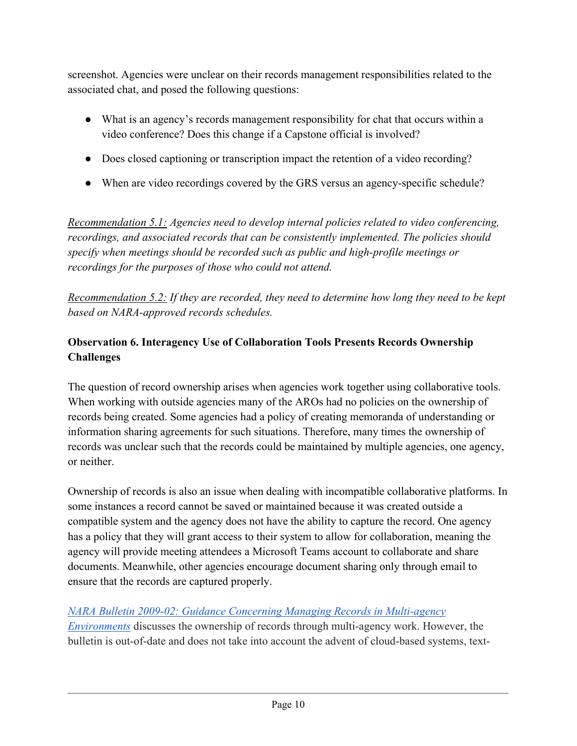associated chat, and posed the following questions: screenshot. Agencies were unclear on their records management responsibilities related to the

- ● What is an agency's records management responsibility for chat that occurs within a video conference? Does this change if a Capstone official is involved?
- Does closed captioning or transcription impact the retention of a video recording?
- When are video recordings covered by the GRS versus an agency-specific schedule?

*Recommendation 5.1: Agencies need to develop internal policies related to video conferencing, recordings, and associated records that can be consistently implemented. The policies should specify when meetings should be recorded such as public and high-profile meetings or recordings for the purposes of those who could not attend.* 

*Recommendation 5.2: If they are recorded, they need to determine how long they need to be kept based on NARA-approved records schedules.* 

## **Observation 6. Interagency Use of Collaboration Tools Presents Records Ownership Challenges**

The question of record ownership arises when agencies work together using collaborative tools. When working with outside agencies many of the AROs had no policies on the ownership of records being created. Some agencies had a policy of creating memoranda of understanding or information sharing agreements for such situations. Therefore, many times the ownership of records was unclear such that the records could be maintained by multiple agencies, one agency, or neither.

 compatible system and the agency does not have the ability to capture the record. One agency has a policy that they will grant access to their system to allow for collaboration, meaning the agency will provide meeting attendees a Microsoft Teams account to collaborate and share documents. Meanwhile, other agencies encourage document sharing only through email to Ownership of records is also an issue when dealing with incompatible collaborative platforms. In some instances a record cannot be saved or maintained because it was created outside a ensure that the records are captured properly.

## *[NARA Bulletin 2009-02: Guidance Concerning Managing Records in Multi-agency](https://www.archives.gov/records-mgmt/bulletins/2009/2009-02.html)*

 *[Environments](https://www.archives.gov/records-mgmt/bulletins/2009/2009-02.html)* discusses the ownership of records through multi-agency work. However, the bulletin is out-of-date and does not take into account the advent of cloud-based systems, text-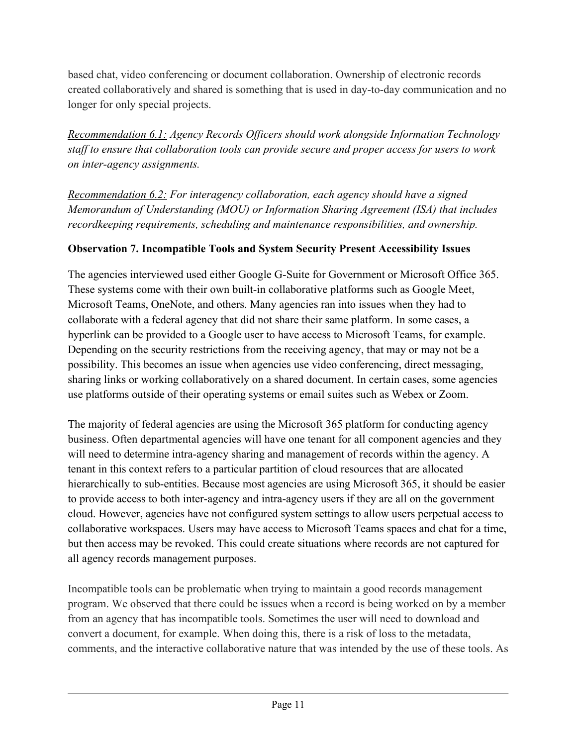based chat, video conferencing or document collaboration. Ownership of electronic records created collaboratively and shared is something that is used in day-to-day communication and no longer for only special projects.

*Recommendation 6.1: Agency Records Officers should work alongside Information Technology staff to ensure that collaboration tools can provide secure and proper access for users to work on inter-agency assignments.* 

*Recommendation 6.2: For interagency collaboration, each agency should have a signed Memorandum of Understanding (MOU) or Information Sharing Agreement (ISA) that includes recordkeeping requirements, scheduling and maintenance responsibilities, and ownership.* 

## **Observation 7. Incompatible Tools and System Security Present Accessibility Issues**

 Depending on the security restrictions from the receiving agency, that may or may not be a sharing links or working collaboratively on a shared document. In certain cases, some agencies The agencies interviewed used either Google G-Suite for Government or Microsoft Office 365. These systems come with their own built-in collaborative platforms such as Google Meet, Microsoft Teams, OneNote, and others. Many agencies ran into issues when they had to collaborate with a federal agency that did not share their same platform. In some cases, a hyperlink can be provided to a Google user to have access to Microsoft Teams, for example. possibility. This becomes an issue when agencies use video conferencing, direct messaging, use platforms outside of their operating systems or email suites such as Webex or Zoom.

 The majority of federal agencies are using the Microsoft 365 platform for conducting agency but then access may be revoked. This could create situations where records are not captured for business. Often departmental agencies will have one tenant for all component agencies and they will need to determine intra-agency sharing and management of records within the agency. A tenant in this context refers to a particular partition of cloud resources that are allocated hierarchically to sub-entities. Because most agencies are using Microsoft 365, it should be easier to provide access to both inter-agency and intra-agency users if they are all on the government cloud. However, agencies have not configured system settings to allow users perpetual access to collaborative workspaces. Users may have access to Microsoft Teams spaces and chat for a time, all agency records management purposes.

 convert a document, for example. When doing this, there is a risk of loss to the metadata, Incompatible tools can be problematic when trying to maintain a good records management program. We observed that there could be issues when a record is being worked on by a member from an agency that has incompatible tools. Sometimes the user will need to download and comments, and the interactive collaborative nature that was intended by the use of these tools. As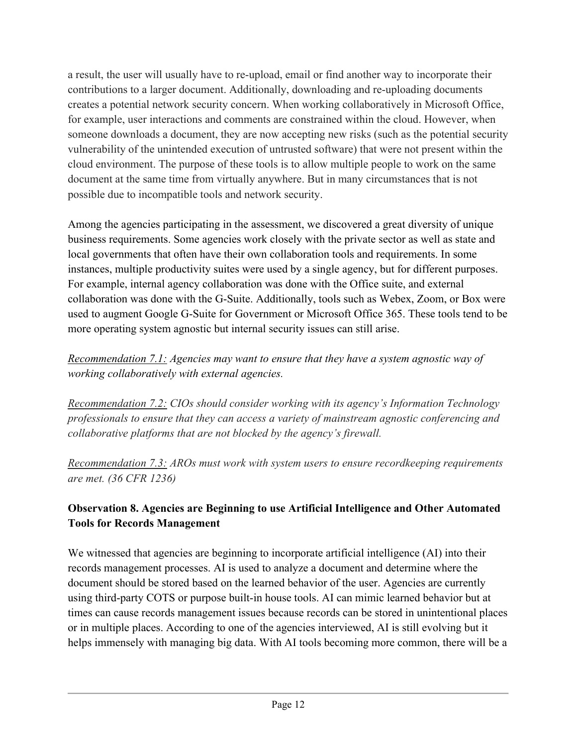cloud environment. The purpose of these tools is to allow multiple people to work on the same a result, the user will usually have to re-upload, email or find another way to incorporate their contributions to a larger document. Additionally, downloading and re-uploading documents creates a potential network security concern. When working collaboratively in Microsoft Office, for example, user interactions and comments are constrained within the cloud. However, when someone downloads a document, they are now accepting new risks (such as the potential security vulnerability of the unintended execution of untrusted software) that were not present within the document at the same time from virtually anywhere. But in many circumstances that is not possible due to incompatible tools and network security.

 local governments that often have their own collaboration tools and requirements. In some instances, multiple productivity suites were used by a single agency, but for different purposes. collaboration was done with the G-Suite. Additionally, tools such as Webex, Zoom, or Box were used to augment Google G-Suite for Government or Microsoft Office 365. These tools tend to be more operating system agnostic but internal security issues can still arise. Among the agencies participating in the assessment, we discovered a great diversity of unique business requirements. Some agencies work closely with the private sector as well as state and For example, internal agency collaboration was done with the Office suite, and external

 *Recommendation 7.1: Agencies may want to ensure that they have a system agnostic way of working collaboratively with external agencies.* 

 *professionals to ensure that they can access a variety of mainstream agnostic conferencing and collaborative platforms that are not blocked by the agency's firewall. Recommendation 7.2: CIOs should consider working with its agency's Information Technology* 

*Recommendation 7.3: AROs must work with system users to ensure recordkeeping requirements are met. (36 CFR 1236)* 

## **Observation 8. Agencies are Beginning to use Artificial Intelligence and Other Automated Tools for Records Management**

 helps immensely with managing big data. With AI tools becoming more common, there will be a We witnessed that agencies are beginning to incorporate artificial intelligence (AI) into their records management processes. AI is used to analyze a document and determine where the document should be stored based on the learned behavior of the user. Agencies are currently using third-party COTS or purpose built-in house tools. AI can mimic learned behavior but at times can cause records management issues because records can be stored in unintentional places or in multiple places. According to one of the agencies interviewed, AI is still evolving but it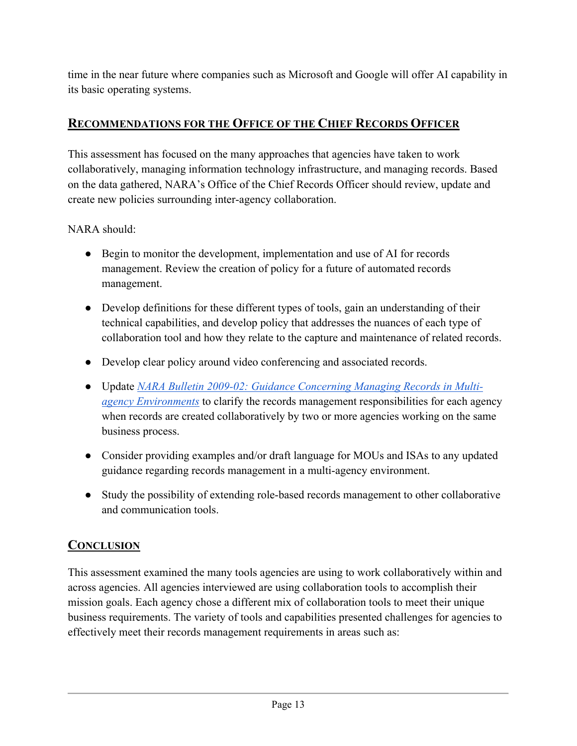time in the near future where companies such as Microsoft and Google will offer AI capability in its basic operating systems.

## **RECOMMENDATIONS FOR THE OFFICE OF THE CHIEF RECORDS OFFICER**

 This assessment has focused on the many approaches that agencies have taken to work collaboratively, managing information technology infrastructure, and managing records. Based on the data gathered, NARA's Office of the Chief Records Officer should review, update and create new policies surrounding inter-agency collaboration.

NARA should:

- management. Review the creation of policy for a future of automated records • Begin to monitor the development, implementation and use of AI for records management.
- technical capabilities, and develop policy that addresses the nuances of each type of • Develop definitions for these different types of tools, gain an understanding of their collaboration tool and how they relate to the capture and maintenance of related records.
- Develop clear policy around video conferencing and associated records.
- Update *[NARA Bulletin 2009-02: Guidance Concerning Managing Records in Multi](https://www.archives.gov/records-mgmt/bulletins/2009/2009-02.html)[agency Environments](https://www.archives.gov/records-mgmt/bulletins/2009/2009-02.html)* to clarify the records management responsibilities for each agency when records are created collaboratively by two or more agencies working on the same business process.
- Consider providing examples and/or draft language for MOUs and ISAs to any updated guidance regarding records management in a multi-agency environment.
- Study the possibility of extending role-based records management to other collaborative and communication tools.

## **CONCLUSION**

 mission goals. Each agency chose a different mix of collaboration tools to meet their unique business requirements. The variety of tools and capabilities presented challenges for agencies to effectively meet their records management requirements in areas such as: This assessment examined the many tools agencies are using to work collaboratively within and across agencies. All agencies interviewed are using collaboration tools to accomplish their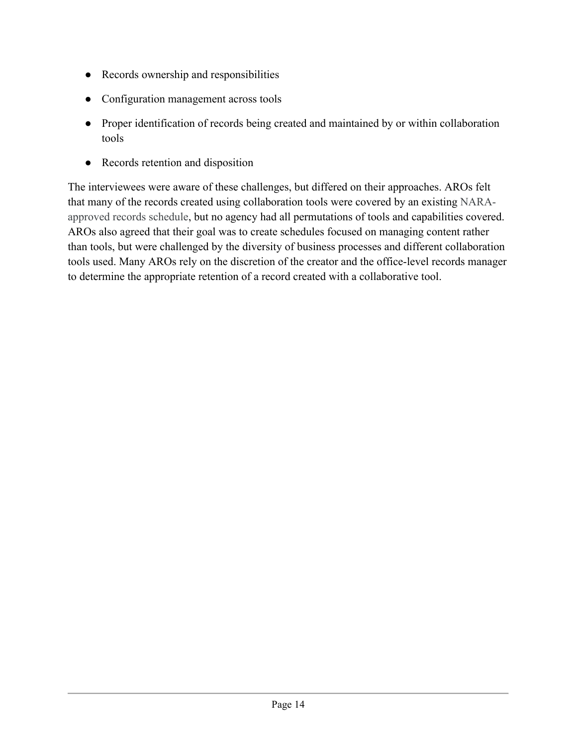- Records ownership and responsibilities
- Configuration management across tools
- ● Proper identification of records being created and maintained by or within collaboration tools
- Records retention and disposition

The interviewees were aware of these challenges, but differed on their approaches. AROs felt that many of the records created using collaboration tools were covered by an existing NARAapproved records schedule, but no agency had all permutations of tools and capabilities covered. AROs also agreed that their goal was to create schedules focused on managing content rather than tools, but were challenged by the diversity of business processes and different collaboration tools used. Many AROs rely on the discretion of the creator and the office-level records manager to determine the appropriate retention of a record created with a collaborative tool.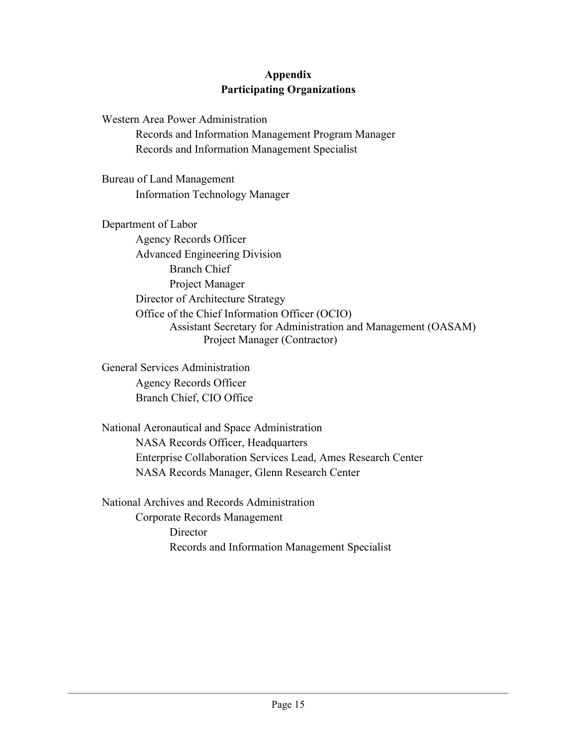#### **Appendix Participating Organizations**

 Records and Information Management Program Manager Western Area Power Administration Records and Information Management Specialist

Bureau of Land Management Information Technology Manager

Department of Labor Agency Records Officer Advanced Engineering Division Branch Chief Project Manager Director of Architecture Strategy Office of the Chief Information Officer (OCIO) Assistant Secretary for Administration and Management (OASAM) Project Manager (Contractor)

General Services Administration Agency Records Officer Branch Chief, CIO Office

National Aeronautical and Space Administration NASA Records Officer, Headquarters Enterprise Collaboration Services Lead, Ames Research Center NASA Records Manager, Glenn Research Center

National Archives and Records Administration Corporate Records Management **Director** Records and Information Management Specialist